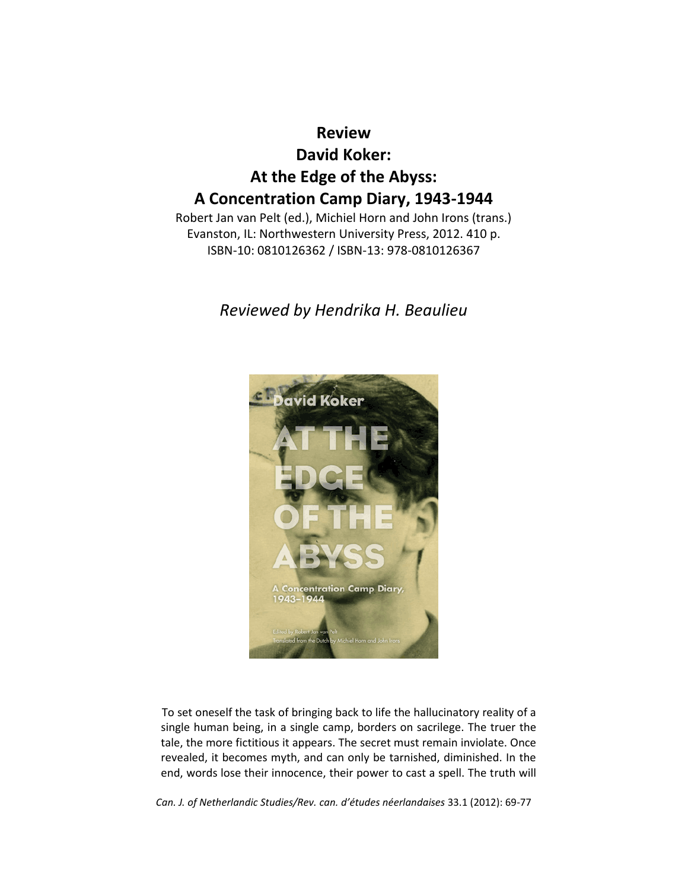# **Review David Koker: At the Edge of the Abyss: A Concentration Camp Diary, 1943-1944**

Robert Jan van Pelt (ed.), Michiel Horn and John Irons (trans.) Evanston, IL: Northwestern University Press, 2012. 410 p. ISBN-10: 0810126362 / ISBN-13: 978-0810126367

# *Reviewed by Hendrika H. Beaulieu*



To set oneself the task of bringing back to life the hallucinatory reality of a single human being, in a single camp, borders on sacrilege. The truer the tale, the more fictitious it appears. The secret must remain inviolate. Once revealed, it becomes myth, and can only be tarnished, diminished. In the end, words lose their innocence, their power to cast a spell. The truth will

*Can. J. of Netherlandic Studies/Rev. can. d'études néerlandaises* 33.1 (2012): 69-77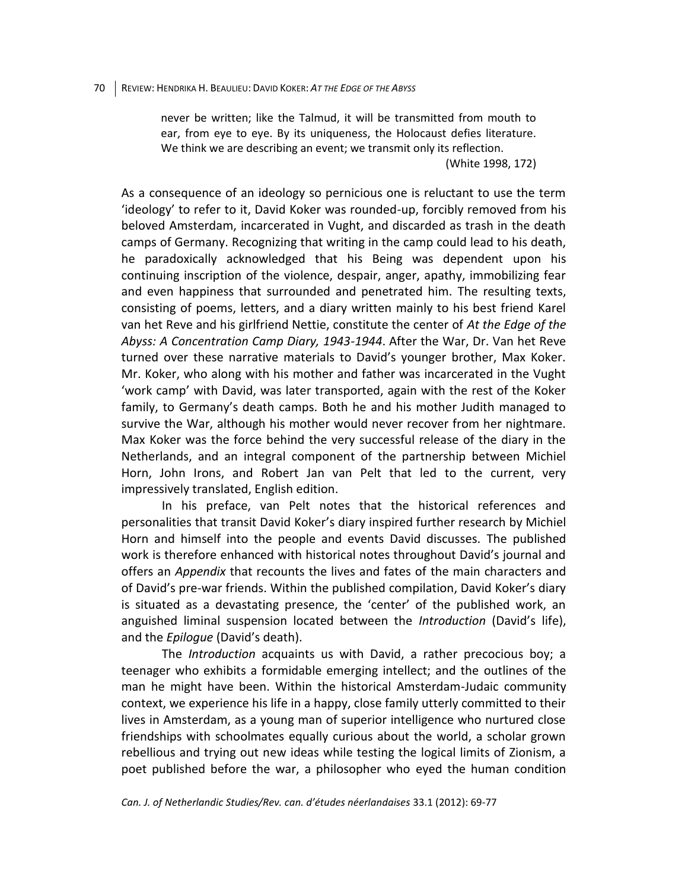never be written; like the Talmud, it will be transmitted from mouth to ear, from eye to eye. By its uniqueness, the Holocaust defies literature. We think we are describing an event; we transmit only its reflection.

(White 1998, 172)

As a consequence of an ideology so pernicious one is reluctant to use the term 'ideology' to refer to it, David Koker was rounded-up, forcibly removed from his beloved Amsterdam, incarcerated in Vught, and discarded as trash in the death camps of Germany. Recognizing that writing in the camp could lead to his death, he paradoxically acknowledged that his Being was dependent upon his continuing inscription of the violence, despair, anger, apathy, immobilizing fear and even happiness that surrounded and penetrated him. The resulting texts, consisting of poems, letters, and a diary written mainly to his best friend Karel van het Reve and his girlfriend Nettie, constitute the center of *At the Edge of the Abyss: A Concentration Camp Diary, 1943-1944*. After the War, Dr. Van het Reve turned over these narrative materials to David's younger brother, Max Koker. Mr. Koker, who along with his mother and father was incarcerated in the Vught 'work camp' with David, was later transported, again with the rest of the Koker family, to Germany's death camps. Both he and his mother Judith managed to survive the War, although his mother would never recover from her nightmare. Max Koker was the force behind the very successful release of the diary in the Netherlands, and an integral component of the partnership between Michiel Horn, John Irons, and Robert Jan van Pelt that led to the current, very impressively translated, English edition.

In his preface, van Pelt notes that the historical references and personalities that transit David Koker's diary inspired further research by Michiel Horn and himself into the people and events David discusses. The published work is therefore enhanced with historical notes throughout David's journal and offers an *Appendix* that recounts the lives and fates of the main characters and of David's pre-war friends. Within the published compilation, David Koker's diary is situated as a devastating presence, the 'center' of the published work, an anguished liminal suspension located between the *Introduction* (David's life), and the *Epilogue* (David's death).

The *Introduction* acquaints us with David, a rather precocious boy; a teenager who exhibits a formidable emerging intellect; and the outlines of the man he might have been. Within the historical Amsterdam-Judaic community context, we experience his life in a happy, close family utterly committed to their lives in Amsterdam, as a young man of superior intelligence who nurtured close friendships with schoolmates equally curious about the world, a scholar grown rebellious and trying out new ideas while testing the logical limits of Zionism, a poet published before the war, a philosopher who eyed the human condition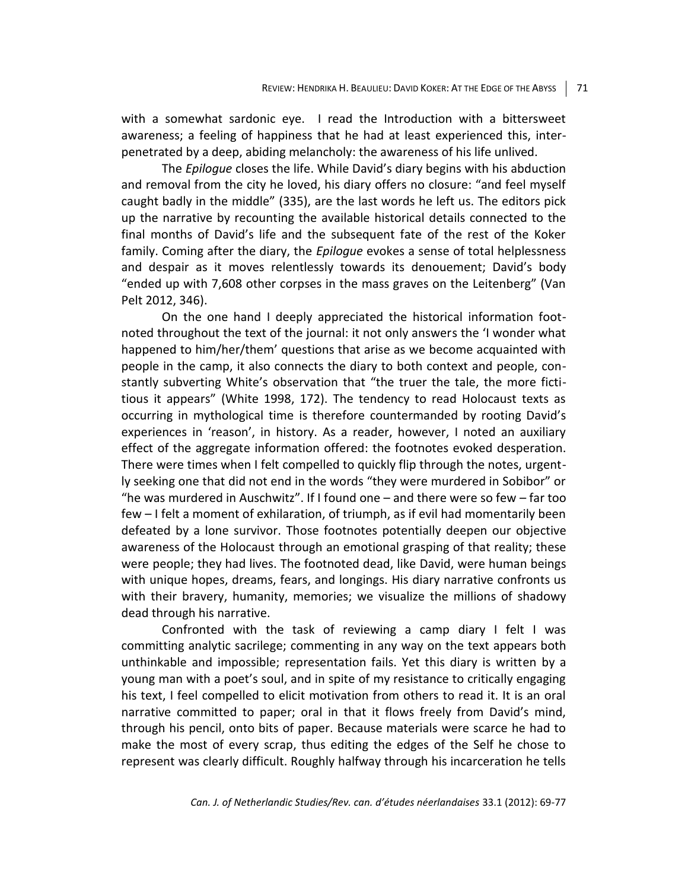with a somewhat sardonic eye. I read the Introduction with a bittersweet awareness; a feeling of happiness that he had at least experienced this, interpenetrated by a deep, abiding melancholy: the awareness of his life unlived.

The *Epilogue* closes the life. While David's diary begins with his abduction and removal from the city he loved, his diary offers no closure: "and feel myself caught badly in the middle" (335), are the last words he left us. The editors pick up the narrative by recounting the available historical details connected to the final months of David's life and the subsequent fate of the rest of the Koker family. Coming after the diary, the *Epilogue* evokes a sense of total helplessness and despair as it moves relentlessly towards its denouement; David's body "ended up with 7,608 other corpses in the mass graves on the Leitenberg" (Van Pelt 2012, 346).

On the one hand I deeply appreciated the historical information footnoted throughout the text of the journal: it not only answers the 'I wonder what happened to him/her/them' questions that arise as we become acquainted with people in the camp, it also connects the diary to both context and people, constantly subverting White's observation that "the truer the tale, the more fictitious it appears" (White 1998, 172). The tendency to read Holocaust texts as occurring in mythological time is therefore countermanded by rooting David's experiences in 'reason', in history. As a reader, however, I noted an auxiliary effect of the aggregate information offered: the footnotes evoked desperation. There were times when I felt compelled to quickly flip through the notes, urgently seeking one that did not end in the words "they were murdered in Sobibor" or "he was murdered in Auschwitz". If I found one – and there were so few – far too few – I felt a moment of exhilaration, of triumph, as if evil had momentarily been defeated by a lone survivor. Those footnotes potentially deepen our objective awareness of the Holocaust through an emotional grasping of that reality; these were people; they had lives. The footnoted dead, like David, were human beings with unique hopes, dreams, fears, and longings. His diary narrative confronts us with their bravery, humanity, memories; we visualize the millions of shadowy dead through his narrative.

Confronted with the task of reviewing a camp diary I felt I was committing analytic sacrilege; commenting in any way on the text appears both unthinkable and impossible; representation fails. Yet this diary is written by a young man with a poet's soul, and in spite of my resistance to critically engaging his text, I feel compelled to elicit motivation from others to read it. It is an oral narrative committed to paper; oral in that it flows freely from David's mind, through his pencil, onto bits of paper. Because materials were scarce he had to make the most of every scrap, thus editing the edges of the Self he chose to represent was clearly difficult. Roughly halfway through his incarceration he tells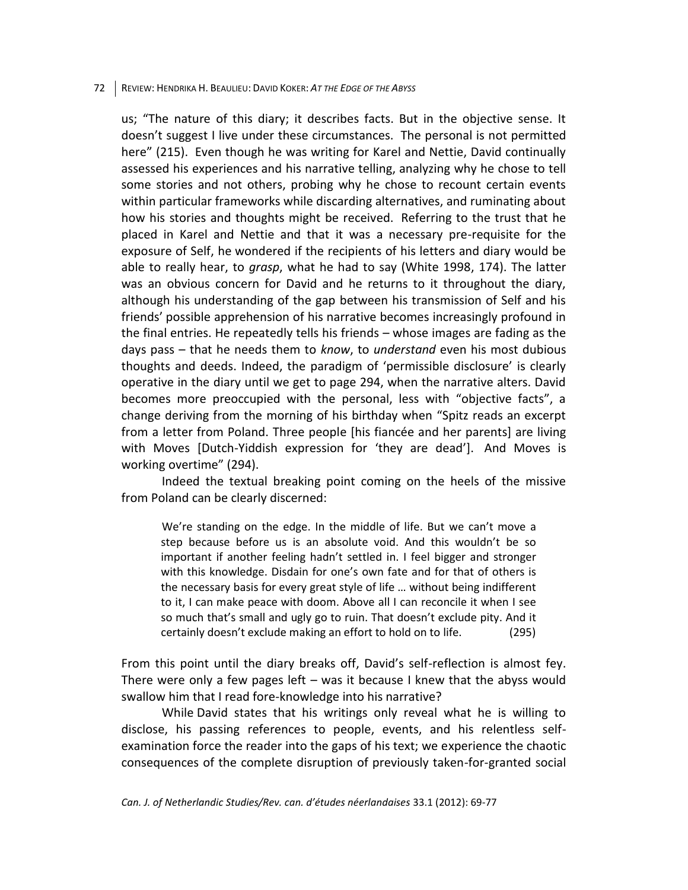#### 72 REVIEW: HENDRIKA H. BEAULIEU: DAVID KOKER: *AT THE EDGE OF THE ABYSS*

us; "The nature of this diary; it describes facts. But in the objective sense. It doesn't suggest I live under these circumstances. The personal is not permitted here" (215). Even though he was writing for Karel and Nettie, David continually assessed his experiences and his narrative telling, analyzing why he chose to tell some stories and not others, probing why he chose to recount certain events within particular frameworks while discarding alternatives, and ruminating about how his stories and thoughts might be received. Referring to the trust that he placed in Karel and Nettie and that it was a necessary pre-requisite for the exposure of Self, he wondered if the recipients of his letters and diary would be able to really hear, to *grasp*, what he had to say (White 1998, 174). The latter was an obvious concern for David and he returns to it throughout the diary, although his understanding of the gap between his transmission of Self and his friends' possible apprehension of his narrative becomes increasingly profound in the final entries. He repeatedly tells his friends – whose images are fading as the days pass – that he needs them to *know*, to *understand* even his most dubious thoughts and deeds. Indeed, the paradigm of 'permissible disclosure' is clearly operative in the diary until we get to page 294, when the narrative alters. David becomes more preoccupied with the personal, less with "objective facts", a change deriving from the morning of his birthday when "Spitz reads an excerpt from a letter from Poland. Three people [his fiancée and her parents] are living with Moves [Dutch-Yiddish expression for 'they are dead']. And Moves is working overtime" (294).

Indeed the textual breaking point coming on the heels of the missive from Poland can be clearly discerned:

We're standing on the edge. In the middle of life. But we can't move a step because before us is an absolute void. And this wouldn't be so important if another feeling hadn't settled in. I feel bigger and stronger with this knowledge. Disdain for one's own fate and for that of others is the necessary basis for every great style of life … without being indifferent to it, I can make peace with doom. Above all I can reconcile it when I see so much that's small and ugly go to ruin. That doesn't exclude pity. And it certainly doesn't exclude making an effort to hold on to life. (295)

From this point until the diary breaks off, David's self-reflection is almost fey. There were only a few pages left – was it because I knew that the abyss would swallow him that I read fore-knowledge into his narrative?

While David states that his writings only reveal what he is willing to disclose, his passing references to people, events, and his relentless selfexamination force the reader into the gaps of his text; we experience the chaotic consequences of the complete disruption of previously taken-for-granted social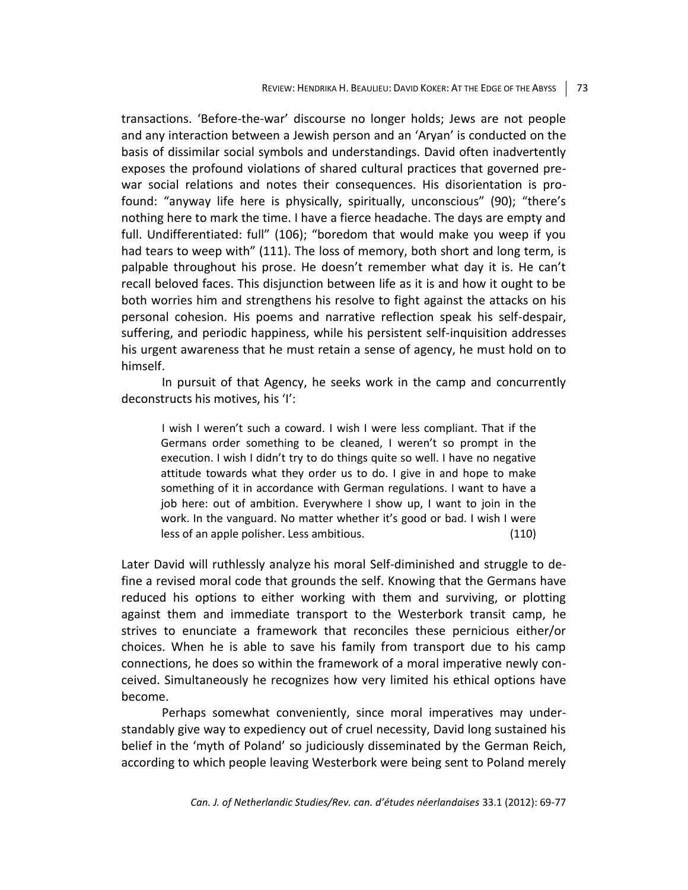transactions. 'Before-the-war' discourse no longer holds; Jews are not people and any interaction between a Jewish person and an 'Aryan' is conducted on the basis of dissimilar social symbols and understandings. David often inadvertently exposes the profound violations of shared cultural practices that governed prewar social relations and notes their consequences. His disorientation is profound: "anyway life here is physically, spiritually, unconscious" (90); "there's nothing here to mark the time. I have a fierce headache. The days are empty and full. Undifferentiated: full" (106); "boredom that would make you weep if you had tears to weep with" (111). The loss of memory, both short and long term, is palpable throughout his prose. He doesn't remember what day it is. He can't recall beloved faces. This disjunction between life as it is and how it ought to be both worries him and strengthens his resolve to fight against the attacks on his personal cohesion. His poems and narrative reflection speak his self-despair, suffering, and periodic happiness, while his persistent self-inquisition addresses his urgent awareness that he must retain a sense of agency, he must hold on to himself.

In pursuit of that Agency, he seeks work in the camp and concurrently deconstructs his motives, his 'I':

I wish I weren't such a coward. I wish I were less compliant. That if the Germans order something to be cleaned, I weren't so prompt in the execution. I wish I didn't try to do things quite so well. I have no negative attitude towards what they order us to do. I give in and hope to make something of it in accordance with German regulations. I want to have a job here: out of ambition. Everywhere I show up, I want to join in the work. In the vanguard. No matter whether it's good or bad. I wish I were less of an apple polisher. Less ambitious. (110)

Later David will ruthlessly analyze his moral Self-diminished and struggle to define a revised moral code that grounds the self. Knowing that the Germans have reduced his options to either working with them and surviving, or plotting against them and immediate transport to the Westerbork transit camp, he strives to enunciate a framework that reconciles these pernicious either/or choices. When he is able to save his family from transport due to his camp connections, he does so within the framework of a moral imperative newly conceived. Simultaneously he recognizes how very limited his ethical options have become.

Perhaps somewhat conveniently, since moral imperatives may understandably give way to expediency out of cruel necessity, David long sustained his belief in the 'myth of Poland' so judiciously disseminated by the German Reich, according to which people leaving Westerbork were being sent to Poland merely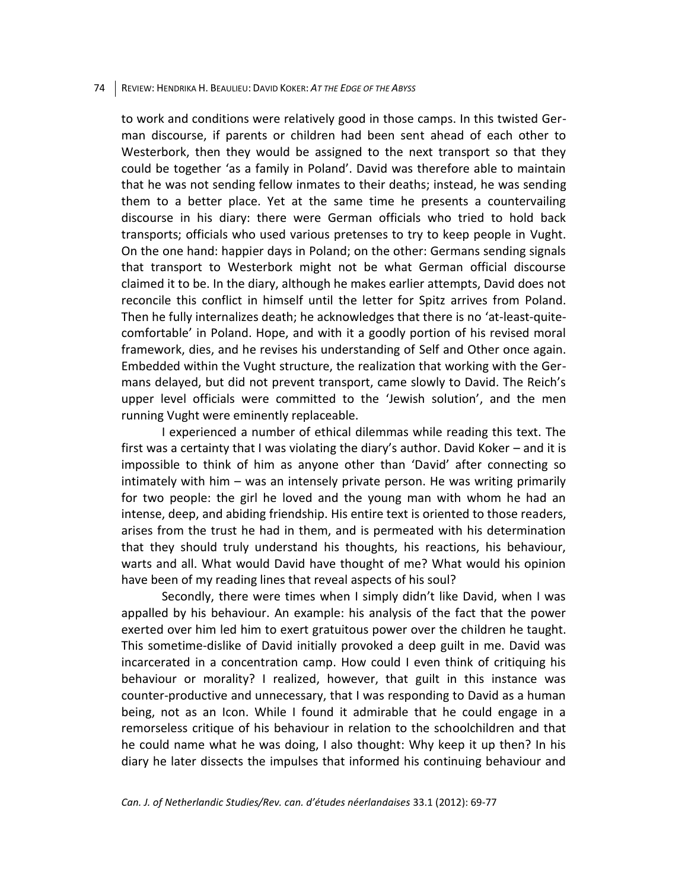#### 74 REVIEW: HENDRIKA H. BEAULIEU: DAVID KOKER: *AT THE EDGE OF THE ABYSS*

to work and conditions were relatively good in those camps. In this twisted German discourse, if parents or children had been sent ahead of each other to Westerbork, then they would be assigned to the next transport so that they could be together 'as a family in Poland'. David was therefore able to maintain that he was not sending fellow inmates to their deaths; instead, he was sending them to a better place. Yet at the same time he presents a countervailing discourse in his diary: there were German officials who tried to hold back transports; officials who used various pretenses to try to keep people in Vught. On the one hand: happier days in Poland; on the other: Germans sending signals that transport to Westerbork might not be what German official discourse claimed it to be. In the diary, although he makes earlier attempts, David does not reconcile this conflict in himself until the letter for Spitz arrives from Poland. Then he fully internalizes death; he acknowledges that there is no 'at-least-quitecomfortable' in Poland. Hope, and with it a goodly portion of his revised moral framework, dies, and he revises his understanding of Self and Other once again. Embedded within the Vught structure, the realization that working with the Germans delayed, but did not prevent transport, came slowly to David. The Reich's upper level officials were committed to the 'Jewish solution', and the men running Vught were eminently replaceable.

I experienced a number of ethical dilemmas while reading this text. The first was a certainty that I was violating the diary's author. David Koker – and it is impossible to think of him as anyone other than 'David' after connecting so intimately with him – was an intensely private person. He was writing primarily for two people: the girl he loved and the young man with whom he had an intense, deep, and abiding friendship. His entire text is oriented to those readers, arises from the trust he had in them, and is permeated with his determination that they should truly understand his thoughts, his reactions, his behaviour, warts and all. What would David have thought of me? What would his opinion have been of my reading lines that reveal aspects of his soul?

Secondly, there were times when I simply didn't like David, when I was appalled by his behaviour. An example: his analysis of the fact that the power exerted over him led him to exert gratuitous power over the children he taught. This sometime-dislike of David initially provoked a deep guilt in me. David was incarcerated in a concentration camp. How could I even think of critiquing his behaviour or morality? I realized, however, that guilt in this instance was counter-productive and unnecessary, that I was responding to David as a human being, not as an Icon. While I found it admirable that he could engage in a remorseless critique of his behaviour in relation to the schoolchildren and that he could name what he was doing, I also thought: Why keep it up then? In his diary he later dissects the impulses that informed his continuing behaviour and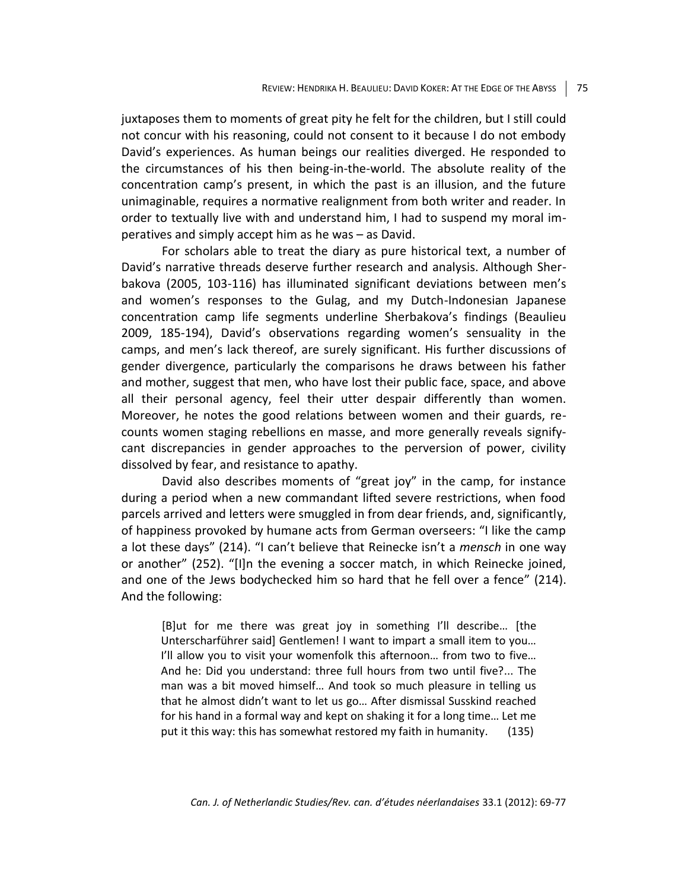juxtaposes them to moments of great pity he felt for the children, but I still could not concur with his reasoning, could not consent to it because I do not embody David's experiences. As human beings our realities diverged. He responded to the circumstances of his then being-in-the-world. The absolute reality of the concentration camp's present, in which the past is an illusion, and the future unimaginable, requires a normative realignment from both writer and reader. In order to textually live with and understand him, I had to suspend my moral imperatives and simply accept him as he was – as David.

For scholars able to treat the diary as pure historical text, a number of David's narrative threads deserve further research and analysis. Although Sherbakova (2005, 103-116) has illuminated significant deviations between men's and women's responses to the Gulag, and my Dutch-Indonesian Japanese concentration camp life segments underline Sherbakova's findings (Beaulieu 2009, 185-194), David's observations regarding women's sensuality in the camps, and men's lack thereof, are surely significant. His further discussions of gender divergence, particularly the comparisons he draws between his father and mother, suggest that men, who have lost their public face, space, and above all their personal agency, feel their utter despair differently than women. Moreover, he notes the good relations between women and their guards, recounts women staging rebellions en masse, and more generally reveals signifycant discrepancies in gender approaches to the perversion of power, civility dissolved by fear, and resistance to apathy.

David also describes moments of "great joy" in the camp, for instance during a period when a new commandant lifted severe restrictions, when food parcels arrived and letters were smuggled in from dear friends, and, significantly, of happiness provoked by humane acts from German overseers: "I like the camp a lot these days" (214). "I can't believe that Reinecke isn't a *mensch* in one way or another" (252). "[I]n the evening a soccer match, in which Reinecke joined, and one of the Jews bodychecked him so hard that he fell over a fence" (214). And the following:

[B]ut for me there was great joy in something I'll describe… [the Unterscharführer said] Gentlemen! I want to impart a small item to you… I'll allow you to visit your womenfolk this afternoon... from two to five... And he: Did you understand: three full hours from two until five?... The man was a bit moved himself… And took so much pleasure in telling us that he almost didn't want to let us go… After dismissal Susskind reached for his hand in a formal way and kept on shaking it for a long time… Let me put it this way: this has somewhat restored my faith in humanity. (135)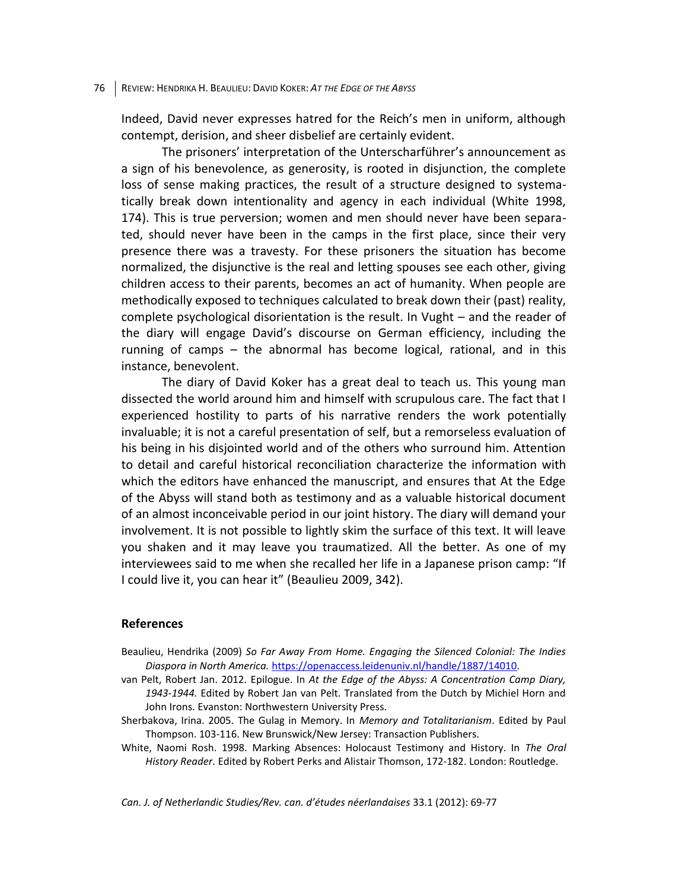#### 76 REVIEW: HENDRIKA H. BEAULIEU: DAVID KOKER: *AT THE EDGE OF THE ABYSS*

Indeed, David never expresses hatred for the Reich's men in uniform, although contempt, derision, and sheer disbelief are certainly evident.

The prisoners' interpretation of the Unterscharführer's announcement as a sign of his benevolence, as generosity, is rooted in disjunction, the complete loss of sense making practices, the result of a structure designed to systematically break down intentionality and agency in each individual (White 1998, 174). This is true perversion; women and men should never have been separated, should never have been in the camps in the first place, since their very presence there was a travesty. For these prisoners the situation has become normalized, the disjunctive is the real and letting spouses see each other, giving children access to their parents, becomes an act of humanity. When people are methodically exposed to techniques calculated to break down their (past) reality, complete psychological disorientation is the result. In Vught – and the reader of the diary will engage David's discourse on German efficiency, including the running of camps – the abnormal has become logical, rational, and in this instance, benevolent.

The diary of David Koker has a great deal to teach us. This young man dissected the world around him and himself with scrupulous care. The fact that I experienced hostility to parts of his narrative renders the work potentially invaluable; it is not a careful presentation of self, but a remorseless evaluation of his being in his disjointed world and of the others who surround him. Attention to detail and careful historical reconciliation characterize the information with which the editors have enhanced the manuscript, and ensures that At the Edge of the Abyss will stand both as testimony and as a valuable historical document of an almost inconceivable period in our joint history. The diary will demand your involvement. It is not possible to lightly skim the surface of this text. It will leave you shaken and it may leave you traumatized. All the better. As one of my interviewees said to me when she recalled her life in a Japanese prison camp: "If I could live it, you can hear it" (Beaulieu 2009, 342).

### **References**

- Beaulieu, Hendrika (2009) *So Far Away From Home. Engaging the Silenced Colonial: The Indies Diaspora in North America.* [https://openaccess.leidenuniv.nl/handle/1887/14010.](https://openaccess.leidenuniv.nl/handle/1887/14010)
- van Pelt, Robert Jan. 2012. Epilogue. In *At the Edge of the Abyss: A Concentration Camp Diary, 1943-1944.* Edited by Robert Jan van Pelt. Translated from the Dutch by Michiel Horn and John Irons. Evanston: Northwestern University Press.
- Sherbakova, Irina. 2005. The Gulag in Memory. In *Memory and Totalitarianism*. Edited by Paul Thompson. 103-116. New Brunswick/New Jersey: Transaction Publishers.
- White, Naomi Rosh. 1998. Marking Absences: Holocaust Testimony and History. In *The Oral History Reader*. Edited by Robert Perks and Alistair Thomson, 172-182. London: Routledge.

*Can. J. of Netherlandic Studies/Rev. can. d'études néerlandaises* 33.1 (2012): 69-77